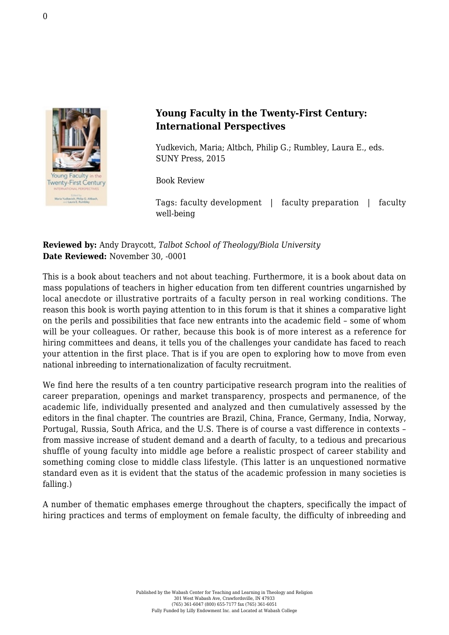

## **Young Faculty in the Twenty-First Century: International Perspectives**

Yudkevich, Maria; Altbch, Philip G.; Rumbley, Laura E., eds. [SUNY Press, 2015](http://www.sunypress.edu/p-6071-young-faculty-in-the-twenty-fir.aspx)

Book Review

Tags: faculty development | faculty preparation | faculty well-being

## **Reviewed by:** Andy Draycott, *Talbot School of Theology/Biola University* **Date Reviewed:** November 30, -0001

This is a book about teachers and not about teaching. Furthermore, it is a book about data on mass populations of teachers in higher education from ten different countries ungarnished by local anecdote or illustrative portraits of a faculty person in real working conditions. The reason this book is worth paying attention to in this forum is that it shines a comparative light on the perils and possibilities that face new entrants into the academic field – some of whom will be your colleagues. Or rather, because this book is of more interest as a reference for hiring committees and deans, it tells you of the challenges your candidate has faced to reach your attention in the first place. That is if you are open to exploring how to move from even national inbreeding to internationalization of faculty recruitment.

We find here the results of a ten country participative research program into the realities of career preparation, openings and market transparency, prospects and permanence, of the academic life, individually presented and analyzed and then cumulatively assessed by the editors in the final chapter. The countries are Brazil, China, France, Germany, India, Norway, Portugal, Russia, South Africa, and the U.S. There is of course a vast difference in contexts – from massive increase of student demand and a dearth of faculty, to a tedious and precarious shuffle of young faculty into middle age before a realistic prospect of career stability and something coming close to middle class lifestyle. (This latter is an unquestioned normative standard even as it is evident that the status of the academic profession in many societies is falling.)

A number of thematic emphases emerge throughout the chapters, specifically the impact of hiring practices and terms of employment on female faculty, the difficulty of inbreeding and